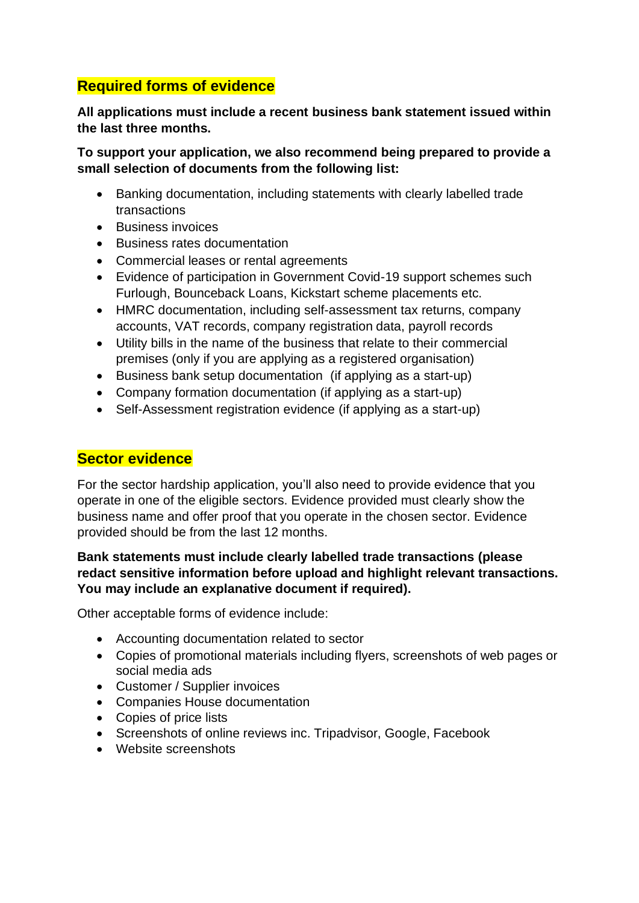## **Required forms of evidence**

**All applications must include a recent business bank statement issued within the last three months.**

**To support your application, we also recommend being prepared to provide a small selection of documents from the following list:**

- Banking documentation, including statements with clearly labelled trade transactions
- Business invoices
- Business rates documentation
- Commercial leases or rental agreements
- Evidence of participation in Government Covid-19 support schemes such Furlough, Bounceback Loans, Kickstart scheme placements etc.
- HMRC documentation, including self-assessment tax returns, company accounts, VAT records, company registration data, payroll records
- Utility bills in the name of the business that relate to their commercial premises (only if you are applying as a registered organisation)
- Business bank setup documentation (if applying as a start-up)
- Company formation documentation (if applying as a start-up)
- Self-Assessment registration evidence (if applying as a start-up)

## **Sector evidence**

For the sector hardship application, you'll also need to provide evidence that you operate in one of the eligible sectors. Evidence provided must clearly show the business name and offer proof that you operate in the chosen sector. Evidence provided should be from the last 12 months.

## **Bank statements must include clearly labelled trade transactions (please redact sensitive information before upload and highlight relevant transactions. You may include an explanative document if required).**

Other acceptable forms of evidence include:

- Accounting documentation related to sector
- Copies of promotional materials including flyers, screenshots of web pages or social media ads
- Customer / Supplier invoices
- Companies House documentation
- Copies of price lists
- Screenshots of online reviews inc. Tripadvisor, Google, Facebook
- Website screenshots